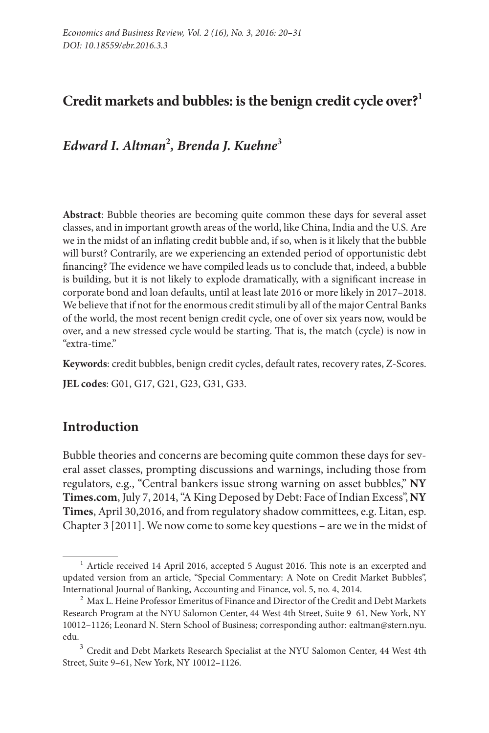# **Credit markets and bubbles: is the benign credit cycle over?1**

*Edward I. Altman***<sup>2</sup>** *, Brenda J. Kuehne***<sup>3</sup>**

**Abstract**: Bubble theories are becoming quite common these days for several asset classes, and in important growth areas of the world, like China, India and the U.S. Are we in the midst of an inflating credit bubble and, if so, when is it likely that the bubble will burst? Contrarily, are we experiencing an extended period of opportunistic debt financing? The evidence we have compiled leads us to conclude that, indeed, a bubble is building, but it is not likely to explode dramatically, with a significant increase in corporate bond and loan defaults, until at least late 2016 or more likely in 2017–2018. We believe that if not for the enormous credit stimuli by all of the major Central Banks of the world, the most recent benign credit cycle, one of over six years now, would be over, and a new stressed cycle would be starting. That is, the match (cycle) is now in "extra-time."

**Keywords**: credit bubbles, benign credit cycles, default rates, recovery rates, Z-Scores. **JEL codes**: G01, G17, G21, G23, G31, G33.

## **Introduction**

Bubble theories and concerns are becoming quite common these days for several asset classes, prompting discussions and warnings, including those from regulators, e.g., "Central bankers issue strong warning on asset bubbles," **NY Times.com**, July 7, 2014, "A King Deposed by Debt: Face of Indian Excess", **NY Times**, April 30,2016, and from regulatory shadow committees, e.g. Litan, esp. Chapter 3 [2011]. We now come to some key questions – are we in the midst of

 $1/1$  Article received 14 April 2016, accepted 5 August 2016. This note is an excerpted and updated version from an article, "Special Commentary: A Note on Credit Market Bubbles", International Journal of Banking, Accounting and Finance, vol. 5, no. 4, 2014.

 $^2$  Max L. Heine Professor Emeritus of Finance and Director of the Credit and Debt Markets Research Program at the NYU Salomon Center, 44 West 4th Street, Suite 9–61, New York, NY 10012–1126; Leonard N. Stern School of Business; corresponding author: [ealtman@stern.nyu.](mailto:ealtman@stern.nyu.edu) [edu](mailto:ealtman@stern.nyu.edu).

 $^3$  Credit and Debt Markets Research Specialist at the NYU Salomon Center, 44 West 4th Street, Suite 9–61, New York, NY 10012–1126.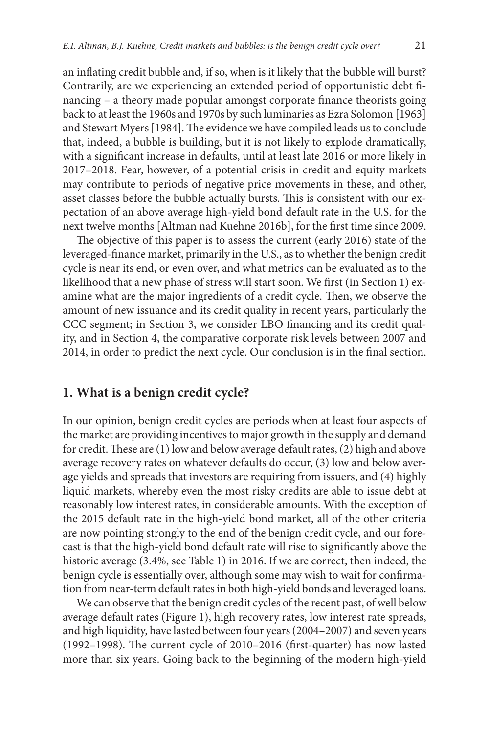an inflating credit bubble and, if so, when is it likely that the bubble will burst? Contrarily, are we experiencing an extended period of opportunistic debt financing – a theory made popular amongst corporate finance theorists going back to at least the 1960s and 1970s by such luminaries as Ezra Solomon [1963] and Stewart Myers [1984]. The evidence we have compiled leads us to conclude that, indeed, a bubble is building, but it is not likely to explode dramatically, with a significant increase in defaults, until at least late 2016 or more likely in 2017–2018. Fear, however, of a potential crisis in credit and equity markets may contribute to periods of negative price movements in these, and other, asset classes before the bubble actually bursts. This is consistent with our expectation of an above average high-yield bond default rate in the U.S. for the next twelve months [Altman nad Kuehne 2016b], for the first time since 2009.

The objective of this paper is to assess the current (early 2016) state of the leveraged-finance market, primarily in the U.S., as to whether the benign credit cycle is near its end, or even over, and what metrics can be evaluated as to the likelihood that a new phase of stress will start soon. We first (in Section 1) examine what are the major ingredients of a credit cycle. Then, we observe the amount of new issuance and its credit quality in recent years, particularly the CCC segment; in Section 3, we consider LBO financing and its credit quality, and in Section 4, the comparative corporate risk levels between 2007 and 2014, in order to predict the next cycle. Our conclusion is in the final section.

#### **1. What is a benign credit cycle?**

In our opinion, benign credit cycles are periods when at least four aspects of the market are providing incentives to major growth in the supply and demand for credit. These are (1) low and below average default rates, (2) high and above average recovery rates on whatever defaults do occur, (3) low and below average yields and spreads that investors are requiring from issuers, and (4) highly liquid markets, whereby even the most risky credits are able to issue debt at reasonably low interest rates, in considerable amounts. With the exception of the 2015 default rate in the high-yield bond market, all of the other criteria are now pointing strongly to the end of the benign credit cycle, and our forecast is that the high-yield bond default rate will rise to significantly above the historic average (3.4%, see Table 1) in 2016. If we are correct, then indeed, the benign cycle is essentially over, although some may wish to wait for confirmation from near-term default rates in both high-yield bonds and leveraged loans.

We can observe that the benign credit cycles of the recent past, of well below average default rates (Figure 1), high recovery rates, low interest rate spreads, and high liquidity, have lasted between four years (2004–2007) and seven years (1992–1998). The current cycle of 2010–2016 (first-quarter) has now lasted more than six years. Going back to the beginning of the modern high-yield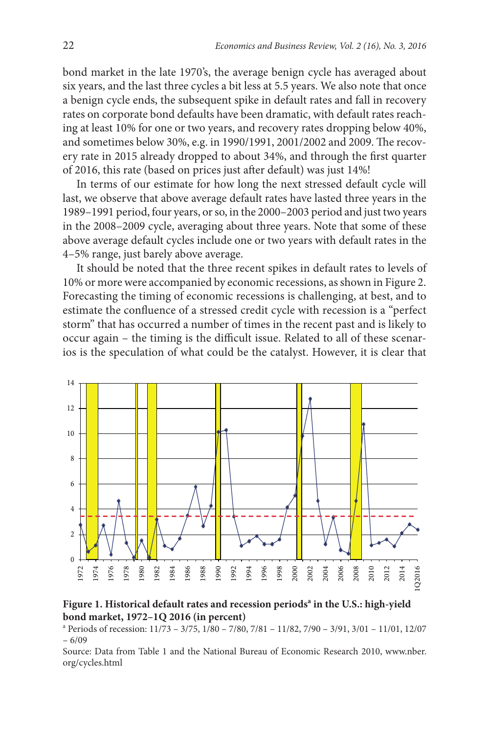bond market in the late 1970's, the average benign cycle has averaged about six years, and the last three cycles a bit less at 5.5 years. We also note that once a benign cycle ends, the subsequent spike in default rates and fall in recovery rates on corporate bond defaults have been dramatic, with default rates reaching at least 10% for one or two years, and recovery rates dropping below 40%, and sometimes below 30%, e.g. in 1990/1991, 2001/2002 and 2009. The recovery rate in 2015 already dropped to about 34%, and through the first quarter of 2016, this rate (based on prices just after default) was just 14%!

In terms of our estimate for how long the next stressed default cycle will last, we observe that above average default rates have lasted three years in the 1989–1991 period, four years, or so, in the 2000–2003 period and just two years in the 2008–2009 cycle, averaging about three years. Note that some of these above average default cycles include one or two years with default rates in the 4–5% range, just barely above average.

It should be noted that the three recent spikes in default rates to levels of 10% or more were accompanied by economic recessions, as shown in Figure 2. Forecasting the timing of economic recessions is challenging, at best, and to estimate the confluence of a stressed credit cycle with recession is a "perfect storm" that has occurred a number of times in the recent past and is likely to occur again – the timing is the difficult issue. Related to all of these scenarios is the speculation of what could be the catalyst. However, it is clear that



**Figure 1. Historical default rates and recession periods<sup>a</sup> in the U.S.: high-yield bond market, 1972–1Q 2016 (in percent)**

a Periods of recession: 11/73 – 3/75, 1/80 – 7/80, 7/81 – 11/82, 7/90 – 3/91, 3/01 – 11/01, 12/07 – 6/09

Source: Data from Table 1 and the National Bureau of Economic Research 2010, www.nber. org/cycles.html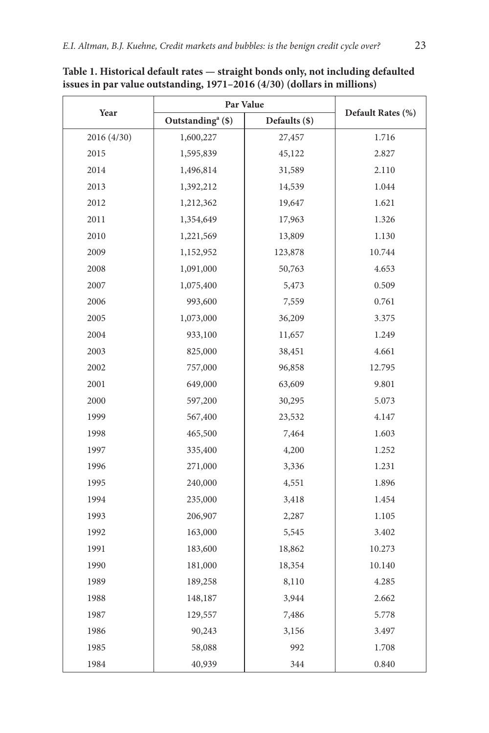|             | Par Value                     |               |                   |  |  |
|-------------|-------------------------------|---------------|-------------------|--|--|
| Year        | Outstanding <sup>a</sup> (\$) | Defaults (\$) | Default Rates (%) |  |  |
| 2016 (4/30) | 1,600,227                     | 27,457        | 1.716             |  |  |
| 2015        | 1,595,839                     | 45,122        | 2.827             |  |  |
| 2014        | 1,496,814                     | 31,589        | 2.110             |  |  |
| 2013        | 1,392,212                     | 14,539        | 1.044             |  |  |
| 2012        | 1,212,362                     | 19,647        | 1.621             |  |  |
| 2011        | 1,354,649                     | 17,963        | 1.326             |  |  |
| 2010        | 1,221,569                     | 13,809        | 1.130             |  |  |
| 2009        | 1,152,952                     | 123,878       | 10.744            |  |  |
| 2008        | 1,091,000                     | 50,763        | 4.653             |  |  |
| 2007        | 1,075,400                     | 5,473         | 0.509             |  |  |
| 2006        | 993,600                       | 7,559         | 0.761             |  |  |
| 2005        | 1,073,000                     | 36,209        | 3.375             |  |  |
| 2004        | 933,100                       | 11,657        | 1.249             |  |  |
| 2003        | 825,000                       | 38,451        | 4.661             |  |  |
| 2002        | 757,000                       | 96,858        | 12.795            |  |  |
| 2001        | 649,000                       | 63,609        | 9.801             |  |  |
| 2000        | 597,200                       | 30,295        | 5.073             |  |  |
| 1999        | 567,400                       | 23,532        | 4.147             |  |  |
| 1998        | 465,500                       | 7,464         | 1.603             |  |  |
| 1997        | 335,400                       | 4,200         | 1.252             |  |  |
| 1996        | 271,000                       | 3,336         | 1.231             |  |  |
| 1995        | 240,000                       | 4,551         | 1.896             |  |  |
| 1994        | 235,000                       | 3,418         | 1.454             |  |  |
| 1993        | 206,907                       | 2,287         | 1.105             |  |  |
| 1992        | 163,000                       | 5,545         | 3.402             |  |  |
| 1991        | 183,600                       | 18,862        | 10.273            |  |  |
| 1990        | 181,000                       | 18,354        | 10.140            |  |  |
| 1989        | 189,258                       | 8,110         | 4.285             |  |  |
| 1988        | 148,187                       | 3,944         | 2.662             |  |  |
| 1987        | 129,557                       | 7,486         | 5.778             |  |  |
| 1986        | 90,243                        | 3,156         | 3.497             |  |  |
| 1985        | 58,088                        | 992           | 1.708             |  |  |
| 1984        | 40,939                        | 344           | 0.840             |  |  |

**Table 1. Historical default rates — straight bonds only, not including defaulted issues in par value outstanding, 1971–2016 (4/30) (dollars in millions)**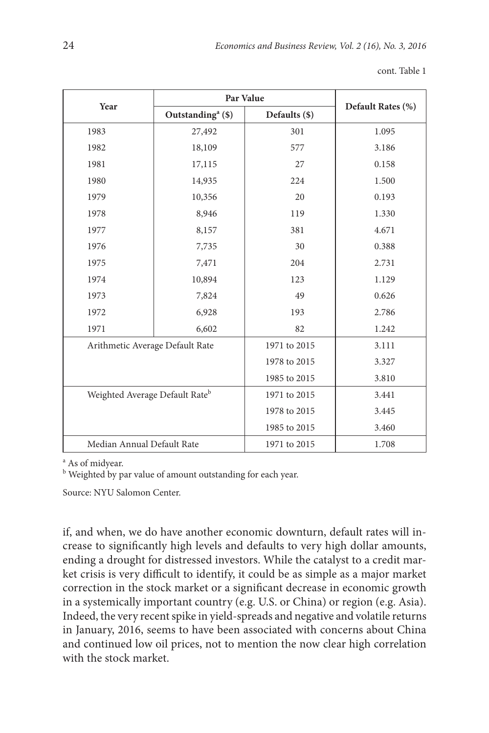|                                            | Par Value                     |               |                   |
|--------------------------------------------|-------------------------------|---------------|-------------------|
| Year                                       | Outstanding <sup>a</sup> (\$) | Defaults (\$) | Default Rates (%) |
| 1983                                       | 27,492                        | 301           | 1.095             |
| 1982                                       | 18,109                        | 577           | 3.186             |
| 1981                                       | 17,115                        | 27            | 0.158             |
| 1980                                       | 14,935                        | 224           | 1.500             |
| 1979                                       | 10,356                        | 20            | 0.193             |
| 1978                                       | 8,946                         | 119           | 1.330             |
| 1977                                       | 8,157                         | 381           | 4.671             |
| 1976                                       | 7,735                         | 30            | 0.388             |
| 1975                                       | 7,471                         | 204           | 2.731             |
| 1974                                       | 10,894                        | 123           | 1.129             |
| 1973                                       | 7,824                         | 49            | 0.626             |
| 1972                                       | 6,928                         | 193           | 2.786             |
| 1971                                       | 6,602                         | 82            | 1.242             |
| Arithmetic Average Default Rate            |                               | 1971 to 2015  | 3.111             |
|                                            |                               | 1978 to 2015  | 3.327             |
|                                            |                               | 1985 to 2015  | 3.810             |
| Weighted Average Default Rate <sup>b</sup> |                               | 1971 to 2015  | 3.441             |
|                                            |                               | 1978 to 2015  | 3.445             |
|                                            |                               | 1985 to 2015  | 3.460             |
| Median Annual Default Rate                 |                               | 1971 to 2015  | 1.708             |

cont. Table 1

a As of midyear.

<sup>b</sup> Weighted by par value of amount outstanding for each year.

Source: NYU Salomon Center.

if, and when, we do have another economic downturn, default rates will increase to significantly high levels and defaults to very high dollar amounts, ending a drought for distressed investors. While the catalyst to a credit market crisis is very difficult to identify, it could be as simple as a major market correction in the stock market or a significant decrease in economic growth in a systemically important country (e.g. U.S. or China) or region (e.g. Asia). Indeed, the very recent spike in yield-spreads and negative and volatile returns in January, 2016, seems to have been associated with concerns about China and continued low oil prices, not to mention the now clear high correlation with the stock market.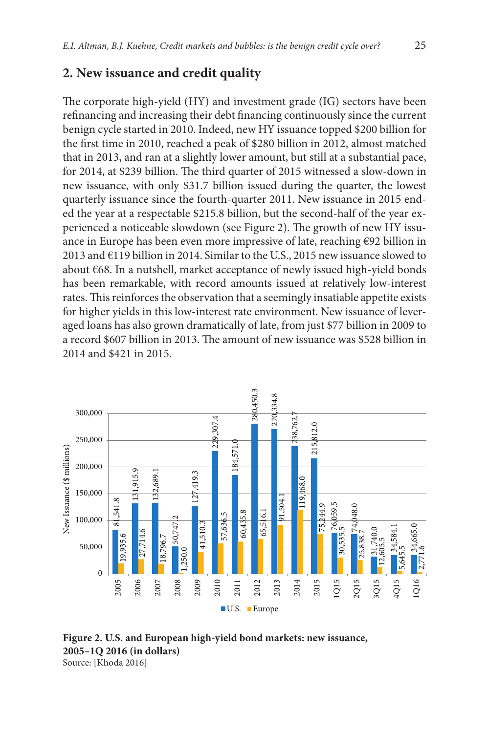#### **2. New issuance and credit quality**

The corporate high-yield (HY) and investment grade (IG) sectors have been refinancing and increasing their debt financing continuously since the current benign cycle started in 2010. Indeed, new HY issuance topped \$200 billion for the first time in 2010, reached a peak of \$280 billion in 2012, almost matched that in 2013, and ran at a slightly lower amount, but still at a substantial pace, for 2014, at \$239 billion. The third quarter of 2015 witnessed a slow-down in new issuance, with only \$31.7 billion issued during the quarter, the lowest quarterly issuance since the fourth-quarter 2011. New issuance in 2015 ended the year at a respectable \$215.8 billion, but the second-half of the year experienced a noticeable slowdown (see Figure 2). The growth of new HY issuance in Europe has been even more impressive of late, reaching €92 billion in 2013 and €119 billion in 2014. Similar to the U.S., 2015 new issuance slowed to about €68. In a nutshell, market acceptance of newly issued high-yield bonds has been remarkable, with record amounts issued at relatively low-interest rates. This reinforces the observation that a seemingly insatiable appetite exists for higher yields in this low-interest rate environment. New issuance of leveraged loans has also grown dramatically of late, from just \$77 billion in 2009 to a record \$607 billion in 2013. The amount of new issuance was \$528 billion in 2014 and \$421 in 2015.



**Figure 2. U.S. and European high-yield bond markets: new issuance, 2005–1Q 2016 (in dollars)**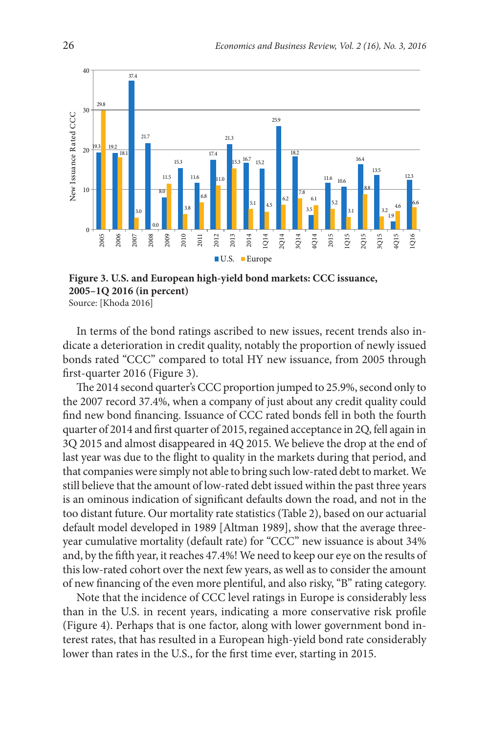

**Figure 3. U.S. and European high-yield bond markets: CCC issuance, 2005–1Q 2016 (in percent)** Source: [Khoda 2016]

In terms of the bond ratings ascribed to new issues, recent trends also indicate a deterioration in credit quality, notably the proportion of newly issued bonds rated "CCC" compared to total HY new issuance, from 2005 through first-quarter 2016 (Figure 3).

The 2014 second quarter's CCC proportion jumped to 25.9%, second only to the 2007 record 37.4%, when a company of just about any credit quality could find new bond financing. Issuance of CCC rated bonds fell in both the fourth quarter of 2014 and first quarter of 2015, regained acceptance in 2Q, fell again in 3Q 2015 and almost disappeared in 4Q 2015. We believe the drop at the end of last year was due to the flight to quality in the markets during that period, and that companies were simply not able to bring such low-rated debt to market. We still believe that the amount of low-rated debt issued within the past three years is an ominous indication of significant defaults down the road, and not in the too distant future. Our mortality rate statistics (Table 2), based on our actuarial default model developed in 1989 [Altman 1989], show that the average threeyear cumulative mortality (default rate) for "CCC" new issuance is about 34% and, by the fifth year, it reaches 47.4%! We need to keep our eye on the results of this low-rated cohort over the next few years, as well as to consider the amount of new financing of the even more plentiful, and also risky, "B" rating category.

Note that the incidence of CCC level ratings in Europe is considerably less than in the U.S. in recent years, indicating a more conservative risk profile (Figure 4). Perhaps that is one factor, along with lower government bond interest rates, that has resulted in a European high-yield bond rate considerably lower than rates in the U.S., for the first time ever, starting in 2015.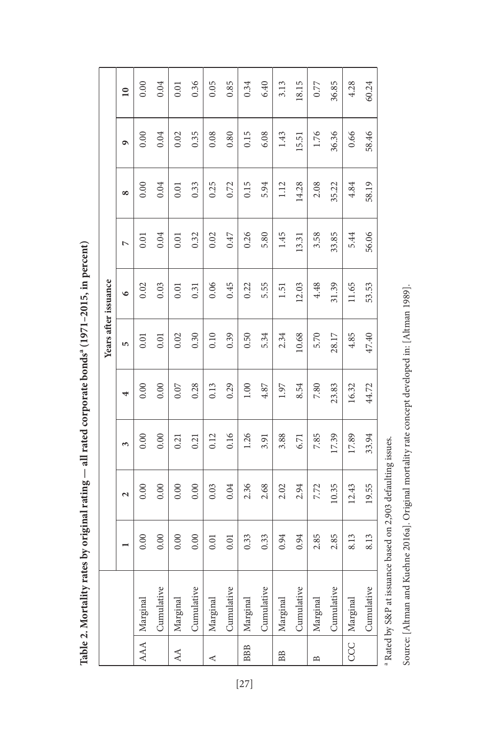|            |                |      |                        |       |       | Years after issuance |           |       |          |           |                 |
|------------|----------------|------|------------------------|-------|-------|----------------------|-----------|-------|----------|-----------|-----------------|
|            |                |      | $\mathbf{\mathcal{L}}$ | 3     | 4     | 5                    | $\bullet$ | L     | $\infty$ | $\bullet$ | $\overline{10}$ |
|            | AAA   Marginal | 0.00 | 0.00                   | 0.00  | 0.00  | 0.01                 | 0.02      | 0.01  | 0.00     | 0.00      | 0.00            |
|            | Cumulative     | 0.00 | 0.00                   | 0.00  | 0.00  | 0.01                 | 0.03      | 0.04  | 0.04     | 0.04      | 0.04            |
| AA         | Marginal       | 0.00 | 0.00                   | 0.21  | 0.07  | 0.02                 | 0.01      | 0.01  | 0.01     | 0.02      | 0.01            |
|            | Cumulative     | 0.00 | 0.00                   | 0.21  | 0.28  | 0.30                 | 0.31      | 0.32  | 0.33     | 0.35      | 0.36            |
| ⋖          | Marginal       | 0.01 | 0.03                   | 0.12  | 0.13  | 0.10                 | 0.06      | 0.02  | 0.25     | 0.08      | 0.05            |
|            | Cumulative     | 0.01 | 0.04                   | 0.16  | 0.29  | 0.39                 | 0.45      | 0.47  | 0.72     | 0.80      | 0.85            |
| <b>BBB</b> | Marginal       | 0.33 | 2.36                   | 1.26  | 1.00  | 0.50                 | 0.22      | 0.26  | 0.15     | 0.15      | 0.34            |
|            | Cumulative     | 0.33 | 2.68                   | 3.91  | 4.87  | 5.34                 | 5.55      | 5.80  | 5.94     | 6.08      | 6.40            |
| BB         | Marginal       | 0.94 | 2.02                   | 3.88  | 1.97  | 2.34                 | 1.51      | 1.45  | 1.12     | 1.43      | 3.13            |
|            | Cumulative     | 0.94 | 2.94                   | 6.71  | 8.54  | 10.68                | 12.03     | 13.31 | 14.28    | 15.51     | 18.15           |
| B          | Marginal       | 2.85 | 7.72                   | 7.85  | 7.80  | 5.70                 | 4.48      | 3.58  | 2.08     | 1.76      | 0.77            |
|            | Cumulative     | 2.85 | 10.35                  | 17.39 | 23.83 | 28.17                | 31.39     | 33.85 | 35.22    | 36.36     | 36.85           |
|            | CCC   Marginal | 8.13 | 12.43                  | 17.89 | 16.32 | 4.85                 | 11.65     | 5.44  | 4.84     | 0.66      | 4.28            |
|            | Cumulative     | 8.13 | 19.55                  | 33.94 | 44.72 | 47.40                | 53.53     | 56.06 | 58.19    | 58.46     | 60.24           |

Table 2. Mortality rates by original rating - all rated corporate bonds<sup>a</sup> (1971-2015, in percent) Table 2. Mortality rates by original rating — all rated corporate bonds<sup>a</sup> (1971–2015, in percent)

 $^{\rm a}$  Rated by S&P at issuance based on 2,903 defaulting issues. a Rated by S&P at issuance based on 2,903 defaulting issues.

Source: [Altman and Kuehne 2016a]. Original mortality rate concept developed in: [Altman 1989].

Source: [Altman and Kuehne 2016a]. Original mortality rate concept developed in: [Altman 1989].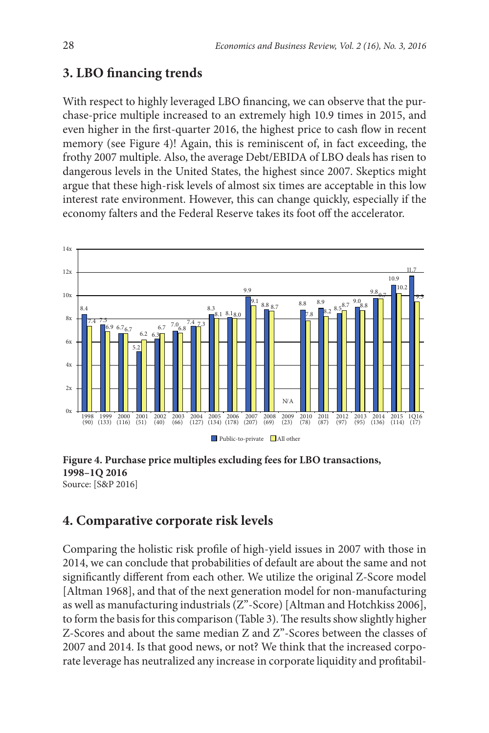## **3. LBO financing trends**

With respect to highly leveraged LBO financing, we can observe that the purchase-price multiple increased to an extremely high 10.9 times in 2015, and even higher in the first-quarter 2016, the highest price to cash flow in recent memory (see Figure 4)! Again, this is reminiscent of, in fact exceeding, the frothy 2007 multiple. Also, the average Debt/EBIDA of LBO deals has risen to dangerous levels in the United States, the highest since 2007. Skeptics might argue that these high-risk levels of almost six times are acceptable in this low interest rate environment. However, this can change quickly, especially if the economy falters and the Federal Reserve takes its foot off the accelerator.



**Figure 4. Purchase price multiples excluding fees for LBO transactions, 1998–1Q 2016** Source: [S&P 2016]

## **4. Comparative corporate risk levels**

Comparing the holistic risk profile of high-yield issues in 2007 with those in 2014, we can conclude that probabilities of default are about the same and not significantly different from each other. We utilize the original Z-Score model [Altman 1968], and that of the next generation model for non-manufacturing as well as manufacturing industrials (Z"-Score) [Altman and Hotchkiss 2006], to form the basis for this comparison (Table 3). The results show slightly higher Z-Scores and about the same median Z and Z"-Scores between the classes of 2007 and 2014. Is that good news, or not? We think that the increased corporate leverage has neutralized any increase in corporate liquidity and profitabil-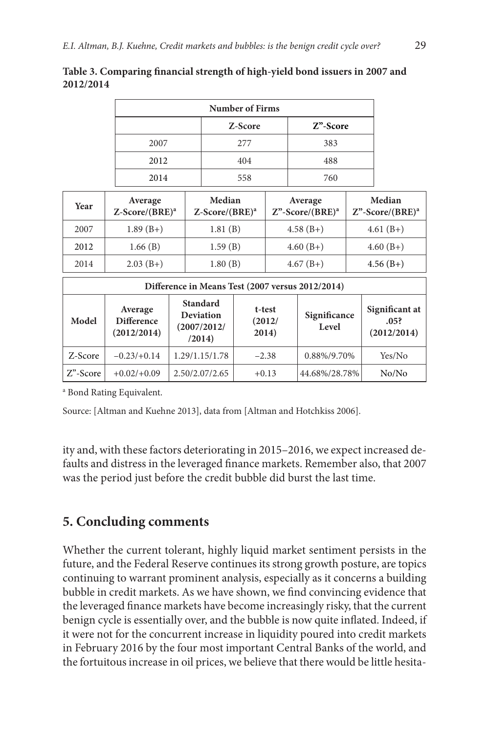|          |                                             |  | Z-Score                                                               |         | $Z$ "-Score                               |                                                  |  |                                          |
|----------|---------------------------------------------|--|-----------------------------------------------------------------------|---------|-------------------------------------------|--------------------------------------------------|--|------------------------------------------|
|          | 2007                                        |  |                                                                       | 277     |                                           | 383                                              |  |                                          |
|          | 2012                                        |  |                                                                       | 404     |                                           | 488                                              |  |                                          |
|          | 2014                                        |  |                                                                       | 558     |                                           | 760                                              |  |                                          |
| Year     | Average<br>$Z-Score/(BRE)^a$                |  | Median<br>$Z-Score/(BRE)^a$                                           |         | Average<br>$Z$ "-Score/(BRE) <sup>a</sup> |                                                  |  | Median<br>$Z$ "-Score/(BRE) <sup>a</sup> |
| 2007     | $1.89(B+)$                                  |  | 1.81(B)                                                               |         |                                           | $4.58(B+)$                                       |  | $4.61(B+)$                               |
| 2012     | 1.66(B)                                     |  | 1.59(B)                                                               |         |                                           | $4.60(B+)$                                       |  | $4.60(B+)$                               |
| 2014     | $2.03(B+)$                                  |  | 1.80(B)                                                               |         |                                           | $4.67(B+)$                                       |  | $4.56(B+)$                               |
|          |                                             |  |                                                                       |         |                                           | Difference in Means Test (2007 versus 2012/2014) |  |                                          |
| Model    | Average<br><b>Difference</b><br>(2012/2014) |  | <b>Standard</b><br><b>Deviation</b><br>(2007/2012/<br>2014)<br>(2014) |         | t-test<br>Significance<br>(2012)<br>Level |                                                  |  | Significant at<br>.05?<br>(2012/2014)    |
| Z-Score  | $-0.23/+0.14$                               |  | 1.29/1.15/1.78                                                        | $-2.38$ |                                           | 0.88%/9.70%                                      |  | Yes/No                                   |
| Z"-Score | $+0.02/+0.09$                               |  | 2.50/2.07/2.65                                                        |         | $+0.13$                                   | 44.68%/28.78%                                    |  | No/No                                    |

**Table 3. Comparing financial strength of high-yield bond issuers in 2007 and 2012/2014**

**Number of Firms**

a Bond Rating Equivalent.

Source: [Altman and Kuehne 2013], data from [Altman and Hotchkiss 2006].

ity and, with these factors deteriorating in 2015–2016, we expect increased defaults and distress in the leveraged finance markets. Remember also, that 2007 was the period just before the credit bubble did burst the last time.

## **5. Concluding comments**

Whether the current tolerant, highly liquid market sentiment persists in the future, and the Federal Reserve continues its strong growth posture, are topics continuing to warrant prominent analysis, especially as it concerns a building bubble in credit markets. As we have shown, we find convincing evidence that the leveraged finance markets have become increasingly risky, that the current benign cycle is essentially over, and the bubble is now quite inflated. Indeed, if it were not for the concurrent increase in liquidity poured into credit markets in February 2016 by the four most important Central Banks of the world, and the fortuitous increase in oil prices, we believe that there would be little hesita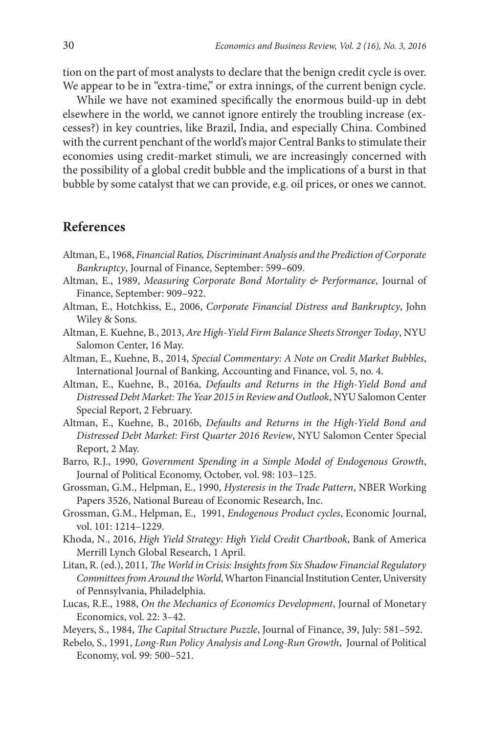tion on the part of most analysts to declare that the benign credit cycle is over. We appear to be in "extra-time," or extra innings, of the current benign cycle.

While we have not examined specifically the enormous build-up in debt elsewhere in the world, we cannot ignore entirely the troubling increase (excesses?) in key countries, like Brazil, India, and especially China. Combined with the current penchant of the world's major Central Banks to stimulate their economies using credit-market stimuli, we are increasingly concerned with the possibility of a global credit bubble and the implications of a burst in that bubble by some catalyst that we can provide, e.g. oil prices, or ones we cannot.

#### **References**

- Altman, E., 1968, *Financial Ratios, Discriminant Analysis and the Prediction of Corporate Bankruptcy*, Journal of Finance, September: 599–609.
- Altman, E., 1989, *Measuring Corporate Bond Mortality & Performance*, Journal of Finance, September: 909–922.
- Altman, E., Hotchkiss, E., 2006, *Corporate Financial Distress and Bankruptcy*, John Wiley & Sons.
- Altman, E. Kuehne, B., 2013, *Are High-Yield Firm Balance Sheets Stronger Today*, NYU Salomon Center, 16 May.
- Altman, E., Kuehne, B., 2014, *Special Commentary: A Note on Credit Market Bubbles*, International Journal of Banking, Accounting and Finance, vol. 5, no. 4.
- Altman, E., Kuehne, B., 2016a, *Defaults and Returns in the High-Yield Bond and Distressed Debt Market: The Year 2015 in Review and Outlook*, NYU Salomon Center Special Report, 2 February.
- Altman, E., Kuehne, B., 2016b, *Defaults and Returns in the High-Yield Bond and Distressed Debt Market: First Quarter 2016 Review*, NYU Salomon Center Special Report, 2 May.
- Barro, R.J., 1990, *Government Spending in a Simple Model of Endogenous Growth*, Journal of Political Economy, October, vol. 98: 103–125.
- Grossman, G.M., Helpman, E., 1990, *Hysteresis in the Trade Pattern*, NBER Working Papers 3526, National Bureau of Economic Research, Inc.
- Grossman, G.M., Helpman, E., 1991, *Endogenous Product cycles*, Economic Journal, vol. 101: 1214–1229.
- Khoda, N., 2016, *High Yield Strategy: High Yield Credit Chartbook*, Bank of America Merrill Lynch Global Research, 1 April.
- Litan, R. (ed.), 2011*, The World in Crisis: Insights from Six Shadow Financial Regulatory Committees from Around the World*,Wharton Financial Institution Center, University of Pennsylvania, Philadelphia.
- Lucas, R.E., 1988, *On the Mechanics of Economics Development*, Journal of Monetary Economics, vol. 22: 3–42.
- Meyers, S., 1984, *The Capital Structure Puzzle*, Journal of Finance, 39, July: 581–592.
- Rebelo, S., 1991, *Long-Run Policy Analysis and Long-Run Growth*, Journal of Political Economy, vol. 99: 500–521.